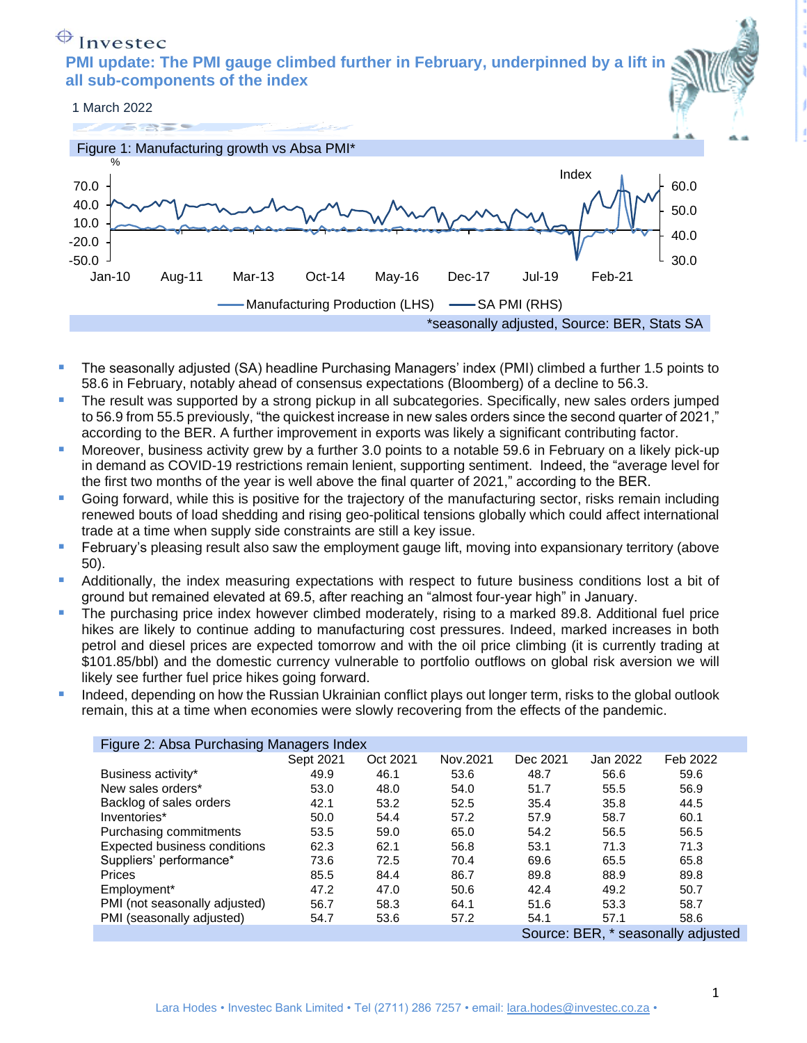## $\bigoplus$  Invested

**PMI update: The PMI gauge climbed further in February, underpinned by a lift in all sub-components of the index**



- The seasonally adjusted (SA) headline Purchasing Managers' index (PMI) climbed a further 1.5 points to 58.6 in February, notably ahead of consensus expectations (Bloomberg) of a decline to 56.3.
- The result was supported by a strong pickup in all subcategories. Specifically, new sales orders jumped to 56.9 from 55.5 previously, "the quickest increase in new sales orders since the second quarter of 2021," according to the BER. A further improvement in exports was likely a significant contributing factor.
- Moreover, business activity grew by a further 3.0 points to a notable 59.6 in February on a likely pick-up in demand as COVID-19 restrictions remain lenient, supporting sentiment. Indeed, the "average level for the first two months of the year is well above the final quarter of 2021," according to the BER.
- Going forward, while this is positive for the trajectory of the manufacturing sector, risks remain including renewed bouts of load shedding and rising geo-political tensions globally which could affect international trade at a time when supply side constraints are still a key issue.
- **EXTED FEBRIOTS:** February's pleasing result also saw the employment gauge lift, moving into expansionary territory (above 50).
- **E** Additionally, the index measuring expectations with respect to future business conditions lost a bit of ground but remained elevated at 69.5, after reaching an "almost four-year high" in January.
- **•** The purchasing price index however climbed moderately, rising to a marked 89.8. Additional fuel price hikes are likely to continue adding to manufacturing cost pressures. Indeed, marked increases in both petrol and diesel prices are expected tomorrow and with the oil price climbing (it is currently trading at \$101.85/bbl) and the domestic currency vulnerable to portfolio outflows on global risk aversion we will likely see further fuel price hikes going forward.
- Indeed, depending on how the Russian Ukrainian conflict plays out longer term, risks to the global outlook remain, this at a time when economies were slowly recovering from the effects of the pandemic.

| Figure 2: Absa Purchasing Managers Index |                                    |          |          |          |          |          |
|------------------------------------------|------------------------------------|----------|----------|----------|----------|----------|
|                                          | Sept 2021                          | Oct 2021 | Nov.2021 | Dec 2021 | Jan 2022 | Feb 2022 |
| Business activity*                       | 49.9                               | 46.1     | 53.6     | 48.7     | 56.6     | 59.6     |
| New sales orders*                        | 53.0                               | 48.0     | 54.0     | 51.7     | 55.5     | 56.9     |
| Backlog of sales orders                  | 42.1                               | 53.2     | 52.5     | 35.4     | 35.8     | 44.5     |
| Inventories*                             | 50.0                               | 54.4     | 57.2     | 57.9     | 58.7     | 60.1     |
| Purchasing commitments                   | 53.5                               | 59.0     | 65.0     | 54.2     | 56.5     | 56.5     |
| Expected business conditions             | 62.3                               | 62.1     | 56.8     | 53.1     | 71.3     | 71.3     |
| Suppliers' performance*                  | 73.6                               | 72.5     | 70.4     | 69.6     | 65.5     | 65.8     |
| Prices                                   | 85.5                               | 84.4     | 86.7     | 89.8     | 88.9     | 89.8     |
| Employment*                              | 47.2                               | 47.0     | 50.6     | 42.4     | 49.2     | 50.7     |
| PMI (not seasonally adjusted)            | 56.7                               | 58.3     | 64.1     | 51.6     | 53.3     | 58.7     |
| PMI (seasonally adjusted)                | 54.7                               | 53.6     | 57.2     | 54.1     | 57.1     | 58.6     |
|                                          | Source: BER, * seasonally adjusted |          |          |          |          |          |

1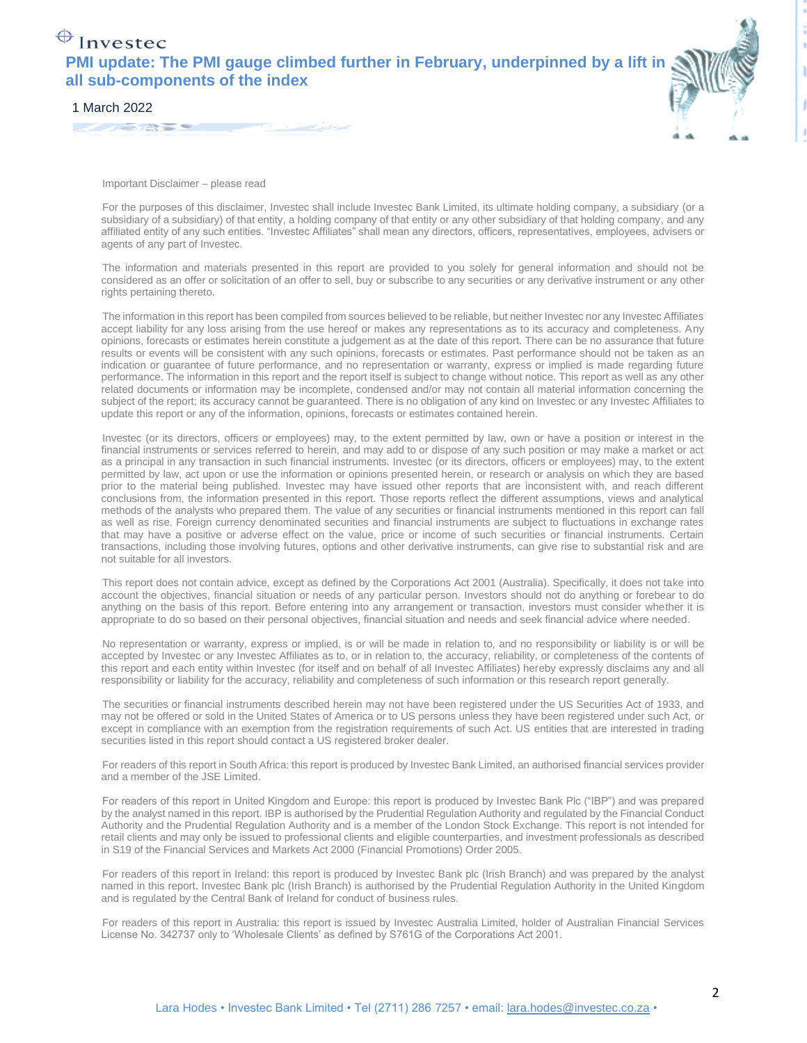## $\bigoplus$  Invested **PMI update: The PMI gauge climbed further in February, underpinned by a lift in all sub-components of the index**



1 March 2022

Important Disclaimer – please read

For the purposes of this disclaimer, Investec shall include Investec Bank Limited, its ultimate holding company, a subsidiary (or a subsidiary of a subsidiary) of that entity, a holding company of that entity or any other subsidiary of that holding company, and any affiliated entity of any such entities. "Investec Affiliates" shall mean any directors, officers, representatives, employees, advisers or agents of any part of Investec.

The information and materials presented in this report are provided to you solely for general information and should not be considered as an offer or solicitation of an offer to sell, buy or subscribe to any securities or any derivative instrument or any other rights pertaining thereto.

The information in this report has been compiled from sources believed to be reliable, but neither Investec nor any Investec Affiliates accept liability for any loss arising from the use hereof or makes any representations as to its accuracy and completeness. Any opinions, forecasts or estimates herein constitute a judgement as at the date of this report. There can be no assurance that future results or events will be consistent with any such opinions, forecasts or estimates. Past performance should not be taken as an indication or guarantee of future performance, and no representation or warranty, express or implied is made regarding future performance. The information in this report and the report itself is subject to change without notice. This report as well as any other related documents or information may be incomplete, condensed and/or may not contain all material information concerning the subject of the report; its accuracy cannot be guaranteed. There is no obligation of any kind on Investec or any Investec Affiliates to update this report or any of the information, opinions, forecasts or estimates contained herein.

Investec (or its directors, officers or employees) may, to the extent permitted by law, own or have a position or interest in the financial instruments or services referred to herein, and may add to or dispose of any such position or may make a market or act as a principal in any transaction in such financial instruments. Investec (or its directors, officers or employees) may, to the extent permitted by law, act upon or use the information or opinions presented herein, or research or analysis on which they are based prior to the material being published. Investec may have issued other reports that are inconsistent with, and reach different conclusions from, the information presented in this report. Those reports reflect the different assumptions, views and analytical methods of the analysts who prepared them. The value of any securities or financial instruments mentioned in this report can fall as well as rise. Foreign currency denominated securities and financial instruments are subject to fluctuations in exchange rates that may have a positive or adverse effect on the value, price or income of such securities or financial instruments. Certain transactions, including those involving futures, options and other derivative instruments, can give rise to substantial risk and are not suitable for all investors.

This report does not contain advice, except as defined by the Corporations Act 2001 (Australia). Specifically, it does not take into account the objectives, financial situation or needs of any particular person. Investors should not do anything or forebear to do anything on the basis of this report. Before entering into any arrangement or transaction, investors must consider whether it is appropriate to do so based on their personal objectives, financial situation and needs and seek financial advice where needed.

No representation or warranty, express or implied, is or will be made in relation to, and no responsibility or liability is or will be accepted by Investec or any Investec Affiliates as to, or in relation to, the accuracy, reliability, or completeness of the contents of this report and each entity within Investec (for itself and on behalf of all Investec Affiliates) hereby expressly disclaims any and all responsibility or liability for the accuracy, reliability and completeness of such information or this research report generally.

The securities or financial instruments described herein may not have been registered under the US Securities Act of 1933, and may not be offered or sold in the United States of America or to US persons unless they have been registered under such Act, or except in compliance with an exemption from the registration requirements of such Act. US entities that are interested in trading securities listed in this report should contact a US registered broker dealer.

For readers of this report in South Africa: this report is produced by Investec Bank Limited, an authorised financial services provider and a member of the JSE Limited.

For readers of this report in United Kingdom and Europe: this report is produced by Investec Bank Plc ("IBP") and was prepared by the analyst named in this report. IBP is authorised by the Prudential Regulation Authority and regulated by the Financial Conduct Authority and the Prudential Regulation Authority and is a member of the London Stock Exchange. This report is not intended for retail clients and may only be issued to professional clients and eligible counterparties, and investment professionals as described in S19 of the Financial Services and Markets Act 2000 (Financial Promotions) Order 2005.

For readers of this report in Ireland: this report is produced by Investec Bank plc (Irish Branch) and was prepared by the analyst named in this report. Investec Bank plc (Irish Branch) is authorised by the Prudential Regulation Authority in the United Kingdom and is regulated by the Central Bank of Ireland for conduct of business rules.

For readers of this report in Australia: this report is issued by Investec Australia Limited, holder of Australian Financial Services License No. 342737 only to 'Wholesale Clients' as defined by S761G of the Corporations Act 2001.